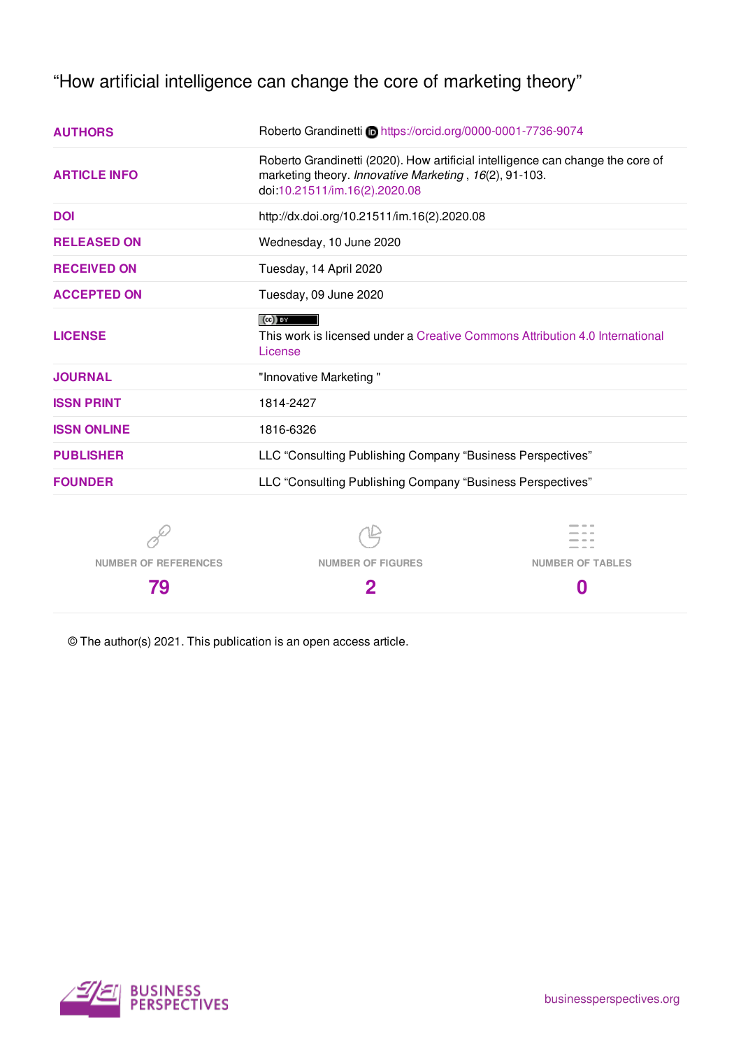"How artificial intelligence can change the core of marketing theory"

| <b>AUTHORS</b>              | Roberto Grandinetti @https://orcid.org/0000-0001-7736-9074                                                                                                                |                         |
|-----------------------------|---------------------------------------------------------------------------------------------------------------------------------------------------------------------------|-------------------------|
| <b>ARTICLE INFO</b>         | Roberto Grandinetti (2020). How artificial intelligence can change the core of<br>marketing theory. Innovative Marketing, 16(2), 91-103.<br>doi:10.21511/im.16(2).2020.08 |                         |
| <b>DOI</b>                  | http://dx.doi.org/10.21511/im.16(2).2020.08                                                                                                                               |                         |
| <b>RELEASED ON</b>          | Wednesday, 10 June 2020                                                                                                                                                   |                         |
| <b>RECEIVED ON</b>          | Tuesday, 14 April 2020                                                                                                                                                    |                         |
| <b>ACCEPTED ON</b>          | Tuesday, 09 June 2020                                                                                                                                                     |                         |
| <b>LICENSE</b>              | $(cc)$ BY<br>This work is licensed under a Creative Commons Attribution 4.0 International<br>License                                                                      |                         |
| <b>JOURNAL</b>              | "Innovative Marketing"                                                                                                                                                    |                         |
| <b>ISSN PRINT</b>           | 1814-2427                                                                                                                                                                 |                         |
| <b>ISSN ONLINE</b>          | 1816-6326                                                                                                                                                                 |                         |
| <b>PUBLISHER</b>            | LLC "Consulting Publishing Company "Business Perspectives"                                                                                                                |                         |
| <b>FOUNDER</b>              | LLC "Consulting Publishing Company "Business Perspectives"                                                                                                                |                         |
|                             |                                                                                                                                                                           |                         |
| <b>NUMBER OF REFERENCES</b> | <b>NUMBER OF FIGURES</b>                                                                                                                                                  | <b>NUMBER OF TABLES</b> |
| 79                          | 2                                                                                                                                                                         | 0                       |

© The author(s) 2021. This publication is an open access article.

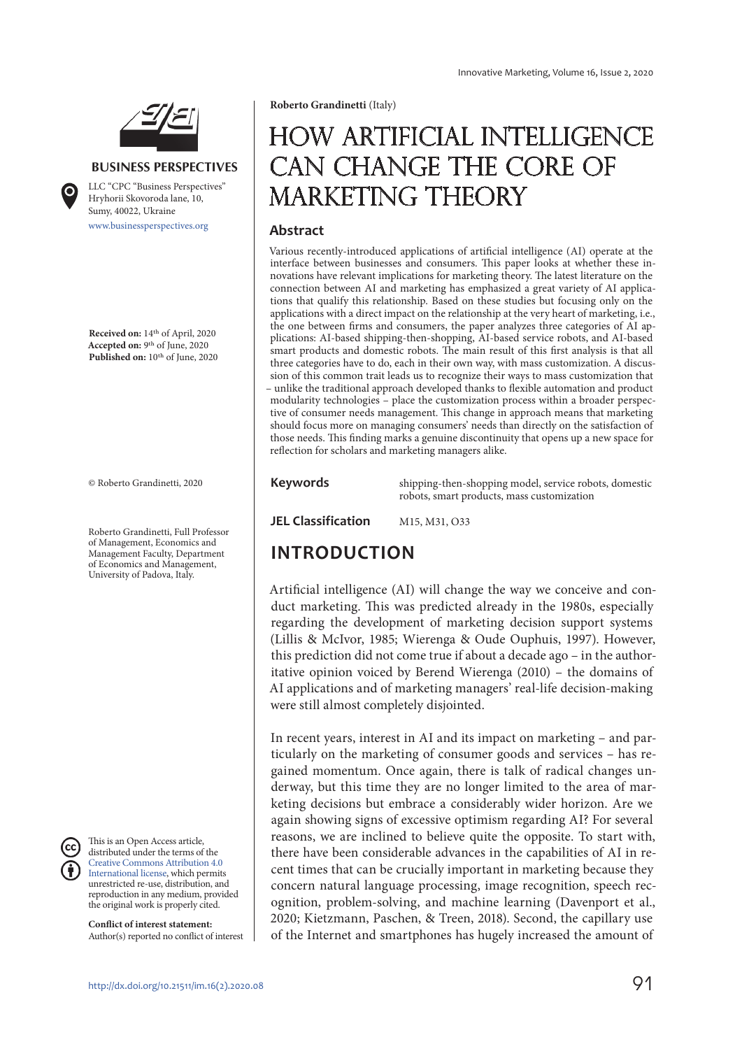

**BUSINESS PERSPECTIVES**

www.businessperspectives.org LLC "СPС "Business Perspectives" Hryhorii Skovoroda lane, 10, Sumy, 40022, Ukraine

**Received on:** 14th of April, 2020 **Accepted on:** 9th of June, 2020 Published on: 10<sup>th</sup> of June, 2020

© Roberto Grandinetti, 2020

Roberto Grandinetti, Full Professor of Management, Economics and Management Faculty, Department of Economics and Management, University of Padova, Italy.

This is an Open Access article, distributed under the terms of the Creative Commons Attribution 4.0 International license, which permits unrestricted re-use, distribution, and reproduction in any medium, provided the original work is properly cited.

**Conflict of interest statement:**  Author(s) reported no conflict of interest **Roberto Grandinetti** (Italy)

# How artificial intelligence can change the core of MARKETING THEORY

#### **Abstract**

Various recently-introduced applications of artificial intelligence (AI) operate at the interface between businesses and consumers. This paper looks at whether these innovations have relevant implications for marketing theory. The latest literature on the connection between AI and marketing has emphasized a great variety of AI applications that qualify this relationship. Based on these studies but focusing only on the applications with a direct impact on the relationship at the very heart of marketing, i.e., the one between firms and consumers, the paper analyzes three categories of AI applications: AI-based shipping-then-shopping, AI-based service robots, and AI-based smart products and domestic robots. The main result of this first analysis is that all three categories have to do, each in their own way, with mass customization. A discussion of this common trait leads us to recognize their ways to mass customization that – unlike the traditional approach developed thanks to flexible automation and product modularity technologies – place the customization process within a broader perspective of consumer needs management. This change in approach means that marketing should focus more on managing consumers' needs than directly on the satisfaction of those needs. This finding marks a genuine discontinuity that opens up a new space for reflection for scholars and marketing managers alike.

**Keywords** shipping-then-shopping model, service robots, domestic robots, smart products, mass customization

**JEL Classification** M15, M31, O33

## **INTRODUCTION**

Artificial intelligence (AI) will change the way we conceive and conduct marketing. This was predicted already in the 1980s, especially regarding the development of marketing decision support systems (Lillis & McIvor, 1985; Wierenga & Oude Ouphuis, 1997). However, this prediction did not come true if about a decade ago – in the authoritative opinion voiced by Berend Wierenga (2010) – the domains of AI applications and of marketing managers' real-life decision-making were still almost completely disjointed.

In recent years, interest in AI and its impact on marketing – and particularly on the marketing of consumer goods and services – has regained momentum. Once again, there is talk of radical changes underway, but this time they are no longer limited to the area of marketing decisions but embrace a considerably wider horizon. Are we again showing signs of excessive optimism regarding AI? For several reasons, we are inclined to believe quite the opposite. To start with, there have been considerable advances in the capabilities of AI in recent times that can be crucially important in marketing because they concern natural language processing, image recognition, speech recognition, problem-solving, and machine learning (Davenport et al., 2020; Kietzmann, Paschen, & Treen, 2018). Second, the capillary use of the Internet and smartphones has hugely increased the amount of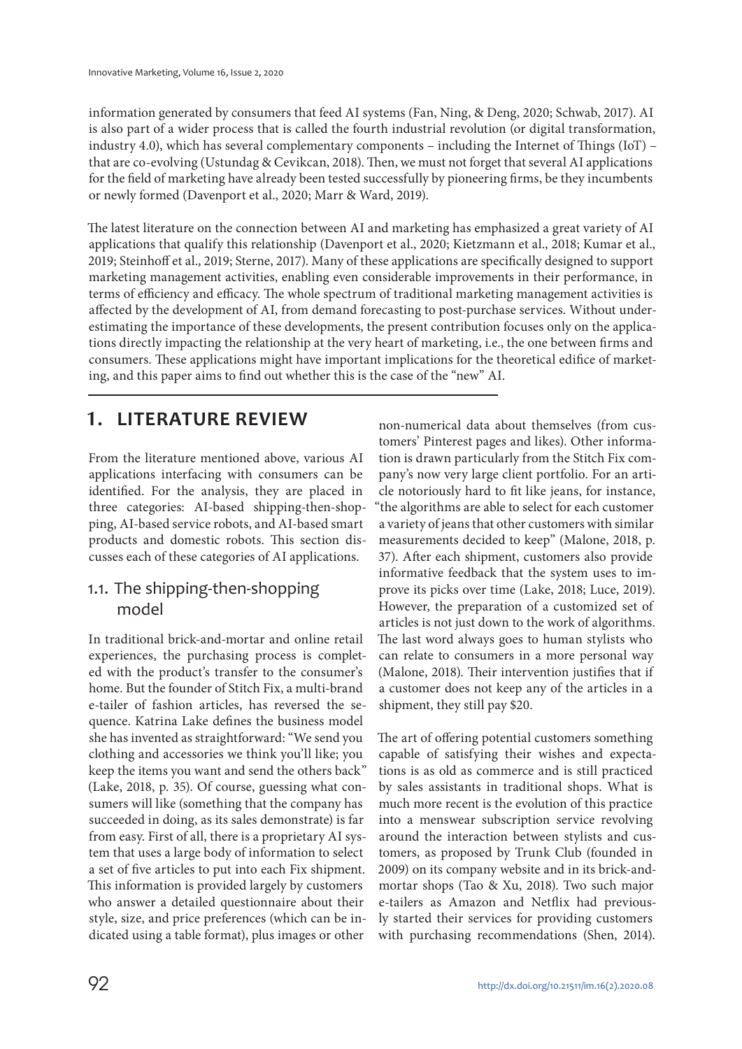information generated by consumers that feed AI systems (Fan, Ning, & Deng, 2020; Schwab, 2017). AI is also part of a wider process that is called the fourth industrial revolution (or digital transformation, industry 4.0), which has several complementary components – including the Internet of Things (IoT) – that are co-evolving (Ustundag & Cevikcan, 2018). Then, we must not forget that several AI applications for the field of marketing have already been tested successfully by pioneering firms, be they incumbents or newly formed (Davenport et al., 2020; Marr & Ward, 2019).

The latest literature on the connection between AI and marketing has emphasized a great variety of AI applications that qualify this relationship (Davenport et al., 2020; Kietzmann et al., 2018; Kumar et al., 2019; Steinhoff et al., 2019; Sterne, 2017). Many of these applications are specifically designed to support marketing management activities, enabling even considerable improvements in their performance, in terms of efficiency and efficacy. The whole spectrum of traditional marketing management activities is affected by the development of AI, from demand forecasting to post-purchase services. Without underestimating the importance of these developments, the present contribution focuses only on the applications directly impacting the relationship at the very heart of marketing, i.e., the one between firms and consumers. These applications might have important implications for the theoretical edifice of marketing, and this paper aims to find out whether this is the case of the "new" AI.

# **1. LITERATURE REVIEW**

From the literature mentioned above, various AI applications interfacing with consumers can be identified. For the analysis, they are placed in three categories: AI-based shipping-then-shopping, AI-based service robots, and AI-based smart products and domestic robots. This section discusses each of these categories of AI applications.

#### 1.1. The shipping-then-shopping model

In traditional brick-and-mortar and online retail experiences, the purchasing process is completed with the product's transfer to the consumer's home. But the founder of Stitch Fix, a multi-brand e-tailer of fashion articles, has reversed the sequence. Katrina Lake defines the business model she has invented as straightforward: "We send you clothing and accessories we think you'll like; you keep the items you want and send the others back" (Lake, 2018, p. 35). Of course, guessing what consumers will like (something that the company has succeeded in doing, as its sales demonstrate) is far from easy. First of all, there is a proprietary AI system that uses a large body of information to select a set of five articles to put into each Fix shipment. This information is provided largely by customers who answer a detailed questionnaire about their style, size, and price preferences (which can be indicated using a table format), plus images or other

non-numerical data about themselves (from customers' Pinterest pages and likes). Other information is drawn particularly from the Stitch Fix company's now very large client portfolio. For an article notoriously hard to fit like jeans, for instance, "the algorithms are able to select for each customer a variety of jeans that other customers with similar measurements decided to keep" (Malone, 2018, p. 37). After each shipment, customers also provide informative feedback that the system uses to improve its picks over time (Lake, 2018; Luce, 2019). However, the preparation of a customized set of articles is not just down to the work of algorithms. The last word always goes to human stylists who can relate to consumers in a more personal way (Malone, 2018). Their intervention justifies that if a customer does not keep any of the articles in a shipment, they still pay \$20.

The art of offering potential customers something capable of satisfying their wishes and expectations is as old as commerce and is still practiced by sales assistants in traditional shops. What is much more recent is the evolution of this practice into a menswear subscription service revolving around the interaction between stylists and customers, as proposed by Trunk Club (founded in 2009) on its company website and in its brick-andmortar shops (Tao & Xu, 2018). Two such major e-tailers as Amazon and Netflix had previously started their services for providing customers with purchasing recommendations (Shen, 2014).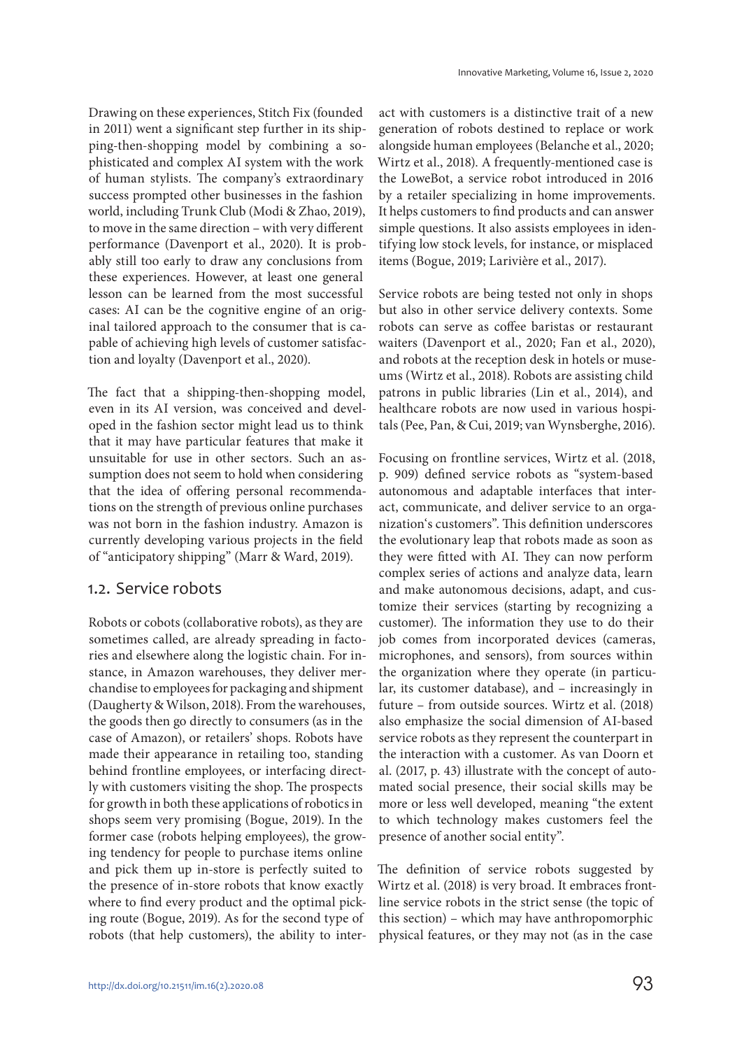Drawing on these experiences, Stitch Fix (founded in 2011) went a significant step further in its shipping-then-shopping model by combining a sophisticated and complex AI system with the work of human stylists. The company's extraordinary success prompted other businesses in the fashion world, including Trunk Club (Modi & Zhao, 2019), to move in the same direction – with very different performance (Davenport et al., 2020). It is probably still too early to draw any conclusions from these experiences. However, at least one general lesson can be learned from the most successful cases: AI can be the cognitive engine of an original tailored approach to the consumer that is capable of achieving high levels of customer satisfaction and loyalty (Davenport et al., 2020).

The fact that a shipping-then-shopping model, even in its AI version, was conceived and developed in the fashion sector might lead us to think that it may have particular features that make it unsuitable for use in other sectors. Such an assumption does not seem to hold when considering that the idea of offering personal recommendations on the strength of previous online purchases was not born in the fashion industry. Amazon is currently developing various projects in the field of "anticipatory shipping" (Marr & Ward, 2019).

#### 1.2. Service robots

Robots or cobots (collaborative robots), as they are sometimes called, are already spreading in factories and elsewhere along the logistic chain. For instance, in Amazon warehouses, they deliver merchandise to employees for packaging and shipment (Daugherty & Wilson, 2018). From the warehouses, the goods then go directly to consumers (as in the case of Amazon), or retailers' shops. Robots have made their appearance in retailing too, standing behind frontline employees, or interfacing directly with customers visiting the shop. The prospects for growth in both these applications of robotics in shops seem very promising (Bogue, 2019). In the former case (robots helping employees), the growing tendency for people to purchase items online and pick them up in-store is perfectly suited to the presence of in-store robots that know exactly where to find every product and the optimal picking route (Bogue, 2019). As for the second type of robots (that help customers), the ability to interact with customers is a distinctive trait of a new generation of robots destined to replace or work alongside human employees (Belanche et al., 2020; Wirtz et al., 2018). A frequently-mentioned case is the LoweBot, a service robot introduced in 2016 by a retailer specializing in home improvements. It helps customers to find products and can answer simple questions. It also assists employees in identifying low stock levels, for instance, or misplaced items (Bogue, 2019; Larivière et al., 2017).

Service robots are being tested not only in shops but also in other service delivery contexts. Some robots can serve as coffee baristas or restaurant waiters (Davenport et al., 2020; Fan et al., 2020), and robots at the reception desk in hotels or museums (Wirtz et al., 2018). Robots are assisting child patrons in public libraries (Lin et al., 2014), and healthcare robots are now used in various hospitals (Pee, Pan, & Cui, 2019; van Wynsberghe, 2016).

Focusing on frontline services, Wirtz et al. (2018, p. 909) defined service robots as "system-based autonomous and adaptable interfaces that interact, communicate, and deliver service to an organization's customers". This definition underscores the evolutionary leap that robots made as soon as they were fitted with AI. They can now perform complex series of actions and analyze data, learn and make autonomous decisions, adapt, and customize their services (starting by recognizing a customer). The information they use to do their job comes from incorporated devices (cameras, microphones, and sensors), from sources within the organization where they operate (in particular, its customer database), and – increasingly in future – from outside sources. Wirtz et al. (2018) also emphasize the social dimension of AI-based service robots as they represent the counterpart in the interaction with a customer. As van Doorn et al. (2017, p. 43) illustrate with the concept of automated social presence, their social skills may be more or less well developed, meaning "the extent to which technology makes customers feel the presence of another social entity".

The definition of service robots suggested by Wirtz et al. (2018) is very broad. It embraces frontline service robots in the strict sense (the topic of this section) – which may have anthropomorphic physical features, or they may not (as in the case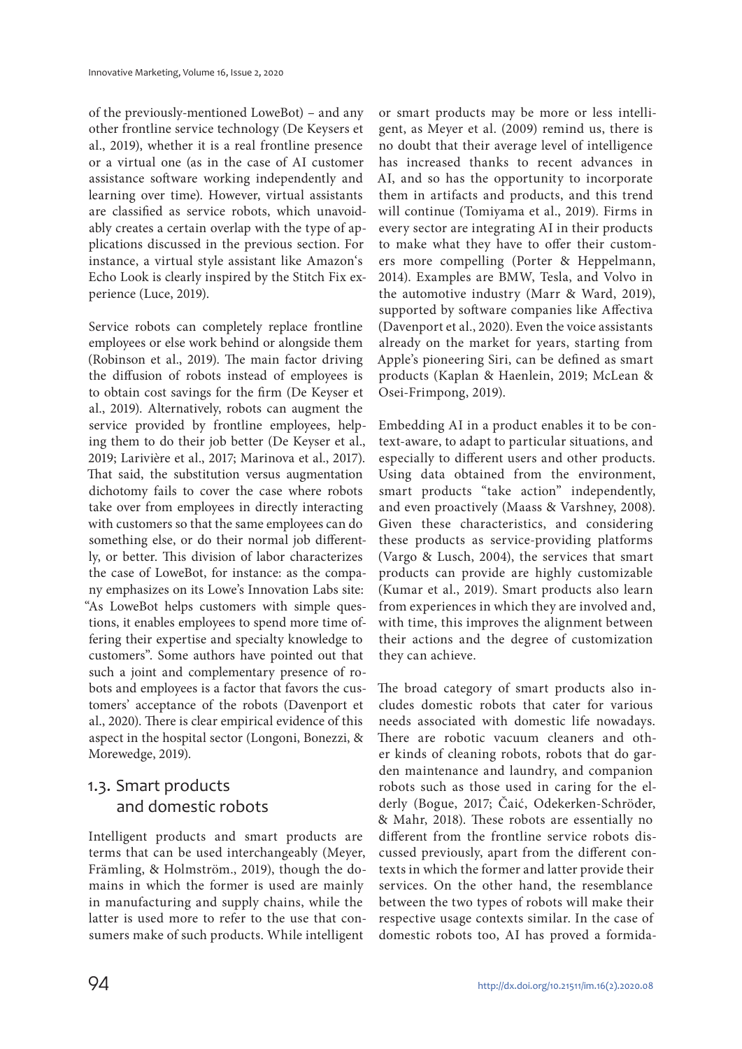of the previously-mentioned LoweBot) – and any other frontline service technology (De Keysers et al., 2019), whether it is a real frontline presence or a virtual one (as in the case of AI customer assistance software working independently and learning over time). However, virtual assistants are classified as service robots, which unavoidably creates a certain overlap with the type of applications discussed in the previous section. For instance, a virtual style assistant like Amazon's Echo Look is clearly inspired by the Stitch Fix experience (Luce, 2019).

Service robots can completely replace frontline employees or else work behind or alongside them (Robinson et al., 2019). The main factor driving the diffusion of robots instead of employees is to obtain cost savings for the firm (De Keyser et al., 2019). Alternatively, robots can augment the service provided by frontline employees, helping them to do their job better (De Keyser et al., 2019; Larivière et al., 2017; Marinova et al., 2017). That said, the substitution versus augmentation dichotomy fails to cover the case where robots take over from employees in directly interacting with customers so that the same employees can do something else, or do their normal job differently, or better. This division of labor characterizes the case of LoweBot, for instance: as the company emphasizes on its Lowe's Innovation Labs site: "As LoweBot helps customers with simple questions, it enables employees to spend more time offering their expertise and specialty knowledge to customers". Some authors have pointed out that such a joint and complementary presence of robots and employees is a factor that favors the customers' acceptance of the robots (Davenport et al., 2020). There is clear empirical evidence of this aspect in the hospital sector (Longoni, Bonezzi, & Morewedge, 2019).

### 1.3. Smart products and domestic robots

Intelligent products and smart products are terms that can be used interchangeably (Meyer, Främling, & Holmström., 2019), though the domains in which the former is used are mainly in manufacturing and supply chains, while the latter is used more to refer to the use that consumers make of such products. While intelligent

or smart products may be more or less intelligent, as Meyer et al. (2009) remind us, there is no doubt that their average level of intelligence has increased thanks to recent advances in AI, and so has the opportunity to incorporate them in artifacts and products, and this trend will continue (Tomiyama et al., 2019). Firms in every sector are integrating AI in their products to make what they have to offer their customers more compelling (Porter & Heppelmann, 2014). Examples are BMW, Tesla, and Volvo in the automotive industry (Marr & Ward, 2019), supported by software companies like Affectiva (Davenport et al., 2020). Even the voice assistants already on the market for years, starting from Apple's pioneering Siri, can be defined as smart products (Kaplan & Haenlein, 2019; McLean & Osei-Frimpong, 2019).

Embedding AI in a product enables it to be context-aware, to adapt to particular situations, and especially to different users and other products. Using data obtained from the environment, smart products "take action" independently, and even proactively (Maass & Varshney, 2008). Given these characteristics, and considering these products as service-providing platforms (Vargo & Lusch, 2004), the services that smart products can provide are highly customizable (Kumar et al., 2019). Smart products also learn from experiences in which they are involved and, with time, this improves the alignment between their actions and the degree of customization they can achieve.

The broad category of smart products also includes domestic robots that cater for various needs associated with domestic life nowadays. There are robotic vacuum cleaners and other kinds of cleaning robots, robots that do garden maintenance and laundry, and companion robots such as those used in caring for the elderly (Bogue, 2017; Čaić, Odekerken-Schröder, & Mahr, 2018). These robots are essentially no different from the frontline service robots discussed previously, apart from the different contexts in which the former and latter provide their services. On the other hand, the resemblance between the two types of robots will make their respective usage contexts similar. In the case of domestic robots too, AI has proved a formida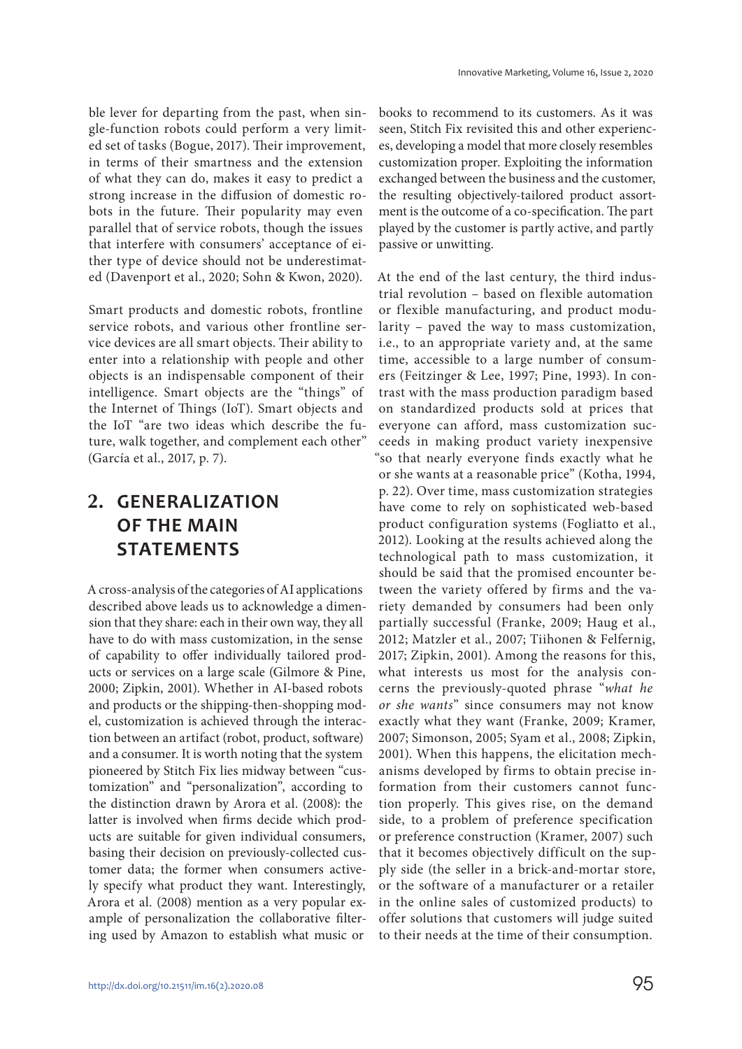ble lever for departing from the past, when single-function robots could perform a very limited set of tasks (Bogue, 2017). Their improvement, in terms of their smartness and the extension of what they can do, makes it easy to predict a strong increase in the diffusion of domestic robots in the future. Their popularity may even parallel that of service robots, though the issues that interfere with consumers' acceptance of either type of device should not be underestimated (Davenport et al., 2020; Sohn & Kwon, 2020).

Smart products and domestic robots, frontline service robots, and various other frontline service devices are all smart objects. Their ability to enter into a relationship with people and other objects is an indispensable component of their intelligence. Smart objects are the "things" of the Internet of Things (IoT). Smart objects and the IoT "are two ideas which describe the future, walk together, and complement each other" (García et al., 2017, p. 7).

# **2. GENERALIZATION OF THE MAIN STATEMENTS**

A cross-analysis of the categories of AI applications described above leads us to acknowledge a dimension that they share: each in their own way, they all have to do with mass customization, in the sense of capability to offer individually tailored products or services on a large scale (Gilmore & Pine, 2000; Zipkin, 2001). Whether in AI-based robots and products or the shipping-then-shopping model, customization is achieved through the interaction between an artifact (robot, product, software) and a consumer. It is worth noting that the system pioneered by Stitch Fix lies midway between "customization" and "personalization", according to the distinction drawn by Arora et al. (2008): the latter is involved when firms decide which products are suitable for given individual consumers, basing their decision on previously-collected customer data; the former when consumers actively specify what product they want. Interestingly, Arora et al. (2008) mention as a very popular example of personalization the collaborative filtering used by Amazon to establish what music or

books to recommend to its customers. As it was seen, Stitch Fix revisited this and other experiences, developing a model that more closely resembles customization proper. Exploiting the information exchanged between the business and the customer, the resulting objectively-tailored product assortment is the outcome of a co-specification. The part played by the customer is partly active, and partly passive or unwitting.

At the end of the last century, the third industrial revolution – based on flexible automation or flexible manufacturing, and product modularity – paved the way to mass customization, i.e., to an appropriate variety and, at the same time, accessible to a large number of consumers (Feitzinger & Lee, 1997; Pine, 1993). In contrast with the mass production paradigm based on standardized products sold at prices that everyone can afford, mass customization succeeds in making product variety inexpensive "so that nearly everyone finds exactly what he or she wants at a reasonable price" (Kotha, 1994, p. 22). Over time, mass customization strategies have come to rely on sophisticated web-based product configuration systems (Fogliatto et al., 2012). Looking at the results achieved along the technological path to mass customization, it should be said that the promised encounter between the variety offered by firms and the variety demanded by consumers had been only partially successful (Franke, 2009; Haug et al., 2012; Matzler et al., 2007; Tiihonen & Felfernig, 2017; Zipkin, 2001). Among the reasons for this, what interests us most for the analysis concerns the previously-quoted phrase "what he or she wants" since consumers may not know exactly what they want (Franke, 2009; Kramer, 2007; Simonson, 2005; Syam et al., 2008; Zipkin, 2001). When this happens, the elicitation mechanisms developed by firms to obtain precise information from their customers cannot function properly. This gives rise, on the demand side, to a problem of preference specification or preference construction (Kramer, 2007) such that it becomes objectively difficult on the supply side (the seller in a brick-and-mortar store, or the software of a manufacturer or a retailer in the online sales of customized products) to offer solutions that customers will judge suited to their needs at the time of their consumption.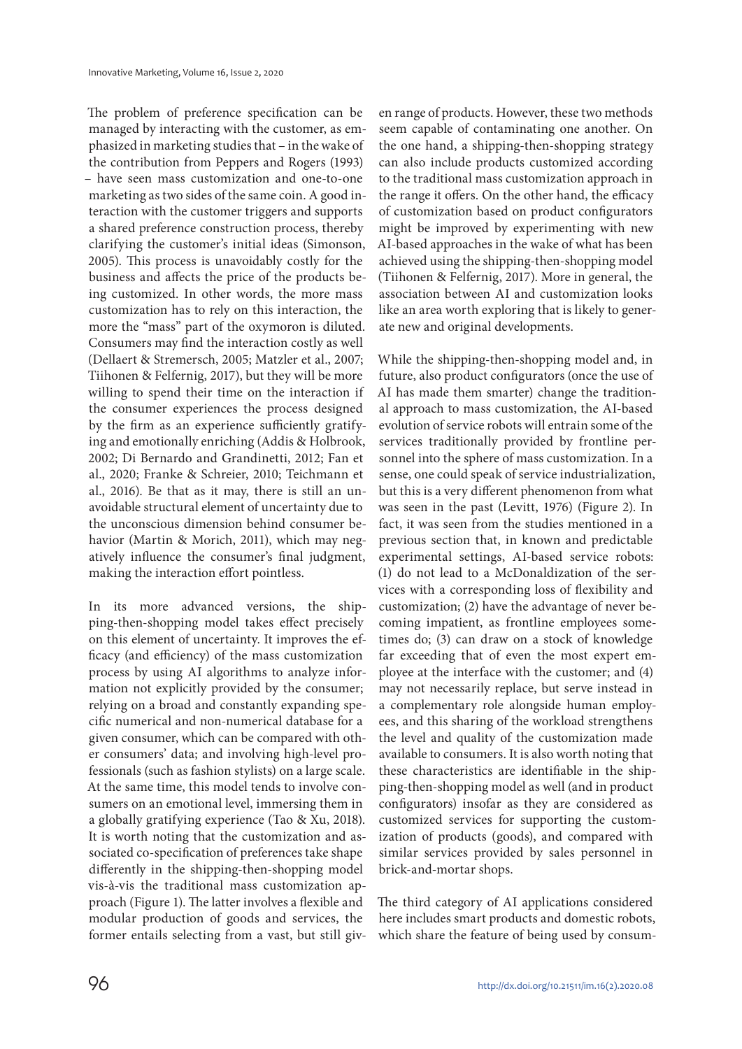The problem of preference specification can be managed by interacting with the customer, as emphasized in marketing studies that – in the wake of the contribution from Peppers and Rogers (1993) – have seen mass customization and one-to-one marketing as two sides of the same coin. A good interaction with the customer triggers and supports a shared preference construction process, thereby clarifying the customer's initial ideas (Simonson, 2005). This process is unavoidably costly for the business and affects the price of the products being customized. In other words, the more mass customization has to rely on this interaction, the more the "mass" part of the oxymoron is diluted. Consumers may find the interaction costly as well (Dellaert & Stremersch, 2005; Matzler et al., 2007; Tiihonen & Felfernig, 2017), but they will be more willing to spend their time on the interaction if the consumer experiences the process designed by the firm as an experience sufficiently gratifying and emotionally enriching (Addis & Holbrook, 2002; Di Bernardo and Grandinetti, 2012; Fan et al., 2020; Franke & Schreier, 2010; Teichmann et al., 2016). Be that as it may, there is still an unavoidable structural element of uncertainty due to the unconscious dimension behind consumer behavior (Martin & Morich, 2011), which may negatively influence the consumer's final judgment, making the interaction effort pointless.

In its more advanced versions, the shipping-then-shopping model takes effect precisely on this element of uncertainty. It improves the efficacy (and efficiency) of the mass customization process by using AI algorithms to analyze information not explicitly provided by the consumer; relying on a broad and constantly expanding specific numerical and non-numerical database for a given consumer, which can be compared with other consumers' data; and involving high-level professionals (such as fashion stylists) on a large scale. At the same time, this model tends to involve consumers on an emotional level, immersing them in a globally gratifying experience (Tao & Xu, 2018). It is worth noting that the customization and associated co-specification of preferences take shape differently in the shipping-then-shopping model vis-à-vis the traditional mass customization approach (Figure 1). The latter involves a flexible and modular production of goods and services, the former entails selecting from a vast, but still giv-

en range of products. However, these two methods seem capable of contaminating one another. On the one hand, a shipping-then-shopping strategy can also include products customized according to the traditional mass customization approach in the range it offers. On the other hand, the efficacy of customization based on product configurators might be improved by experimenting with new AI-based approaches in the wake of what has been achieved using the shipping-then-shopping model (Tiihonen & Felfernig, 2017). More in general, the association between AI and customization looks like an area worth exploring that is likely to generate new and original developments.

While the shipping-then-shopping model and, in future, also product configurators (once the use of AI has made them smarter) change the traditional approach to mass customization, the AI-based evolution of service robots will entrain some of the services traditionally provided by frontline personnel into the sphere of mass customization. In a sense, one could speak of service industrialization, but this is a very different phenomenon from what was seen in the past (Levitt, 1976) (Figure 2). In fact, it was seen from the studies mentioned in a previous section that, in known and predictable experimental settings, AI-based service robots: (1) do not lead to a McDonaldization of the services with a corresponding loss of flexibility and customization; (2) have the advantage of never becoming impatient, as frontline employees sometimes do; (3) can draw on a stock of knowledge far exceeding that of even the most expert employee at the interface with the customer; and (4) may not necessarily replace, but serve instead in a complementary role alongside human employees, and this sharing of the workload strengthens the level and quality of the customization made available to consumers. It is also worth noting that these characteristics are identifiable in the shipping-then-shopping model as well (and in product configurators) insofar as they are considered as customized services for supporting the customization of products (goods), and compared with similar services provided by sales personnel in brick-and-mortar shops.

The third category of AI applications considered here includes smart products and domestic robots, which share the feature of being used by consum-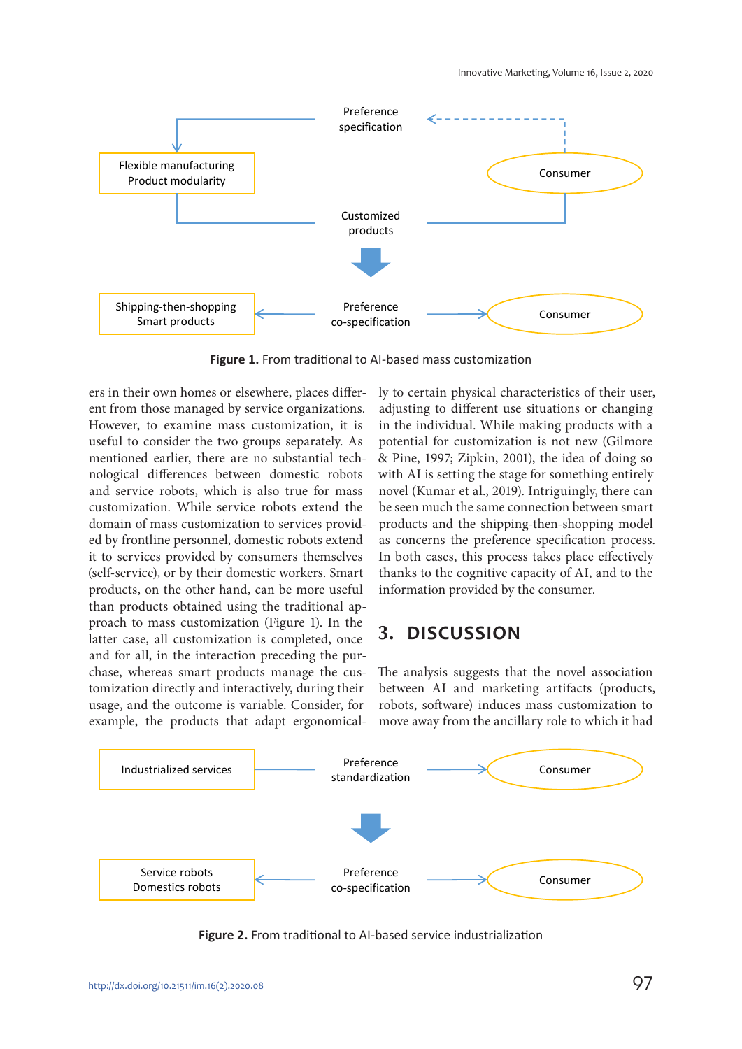

**Figure 1.** From traditional to AI-based mass customization

ers in their own homes or elsewhere, places different from those managed by service organizations. However, to examine mass customization, it is useful to consider the two groups separately. As mentioned earlier, there are no substantial technological differences between domestic robots and service robots, which is also true for mass customization. While service robots extend the domain of mass customization to services provided by frontline personnel, domestic robots extend it to services provided by consumers themselves (self-service), or by their domestic workers. Smart products, on the other hand, can be more useful than products obtained using the traditional approach to mass customization (Figure 1). In the latter case, all customization is completed, once and for all, in the interaction preceding the purchase, whereas smart products manage the customization directly and interactively, during their usage, and the outcome is variable. Consider, for example, the products that adapt ergonomically to certain physical characteristics of their user, adjusting to different use situations or changing in the individual. While making products with a potential for customization is not new (Gilmore & Pine, 1997; Zipkin, 2001), the idea of doing so with AI is setting the stage for something entirely novel (Kumar et al., 2019). Intriguingly, there can be seen much the same connection between smart products and the shipping-then-shopping model as concerns the preference specification process. In both cases, this process takes place effectively thanks to the cognitive capacity of AI, and to the information provided by the consumer.

### **3. DISCUSSION**

The analysis suggests that the novel association between AI and marketing artifacts (products, robots, software) induces mass customization to move away from the ancillary role to which it had



**Figure 2.** From traditional to AI-based service industrialization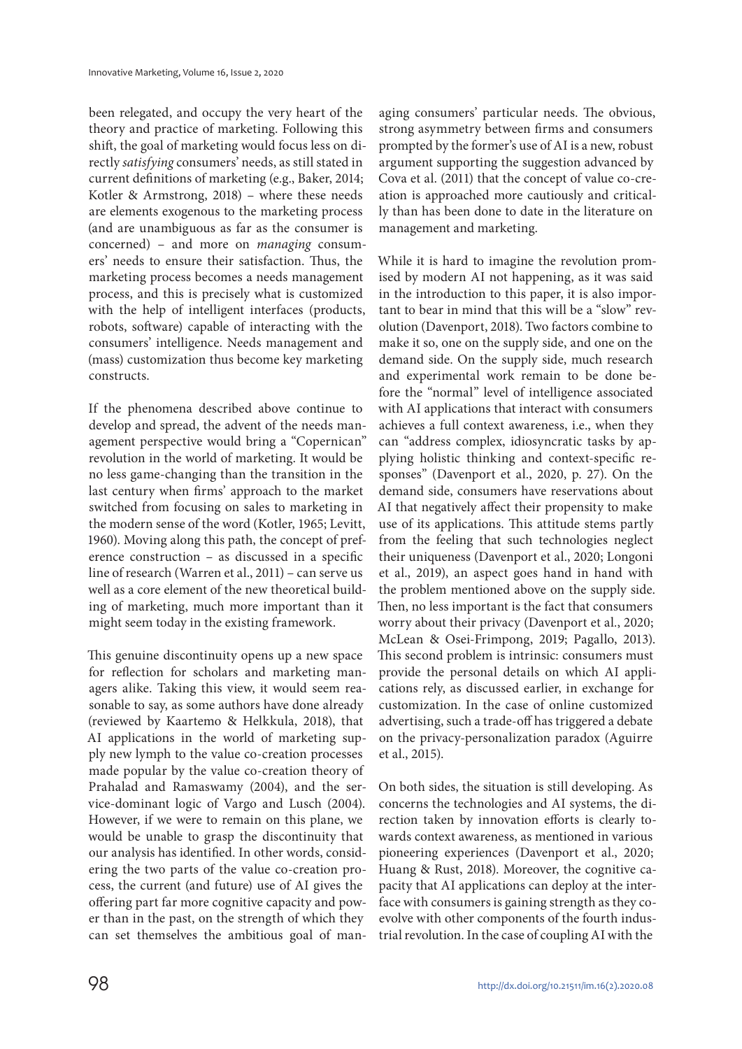been relegated, and occupy the very heart of the theory and practice of marketing. Following this shift, the goal of marketing would focus less on directly satisfying consumers' needs, as still stated in current definitions of marketing (e.g., Baker, 2014; Kotler & Armstrong, 2018) – where these needs are elements exogenous to the marketing process (and are unambiguous as far as the consumer is concerned) – and more on managing consumers' needs to ensure their satisfaction. Thus, the marketing process becomes a needs management process, and this is precisely what is customized with the help of intelligent interfaces (products, robots, software) capable of interacting with the consumers' intelligence. Needs management and (mass) customization thus become key marketing constructs.

If the phenomena described above continue to develop and spread, the advent of the needs management perspective would bring a "Copernican" revolution in the world of marketing. It would be no less game-changing than the transition in the last century when firms' approach to the market switched from focusing on sales to marketing in the modern sense of the word (Kotler, 1965; Levitt, 1960). Moving along this path, the concept of preference construction – as discussed in a specific line of research (Warren et al., 2011) – can serve us well as a core element of the new theoretical building of marketing, much more important than it might seem today in the existing framework.

This genuine discontinuity opens up a new space for reflection for scholars and marketing managers alike. Taking this view, it would seem reasonable to say, as some authors have done already (reviewed by Kaartemo & Helkkula, 2018), that AI applications in the world of marketing supply new lymph to the value co-creation processes made popular by the value co-creation theory of Prahalad and Ramaswamy (2004), and the service-dominant logic of Vargo and Lusch (2004). However, if we were to remain on this plane, we would be unable to grasp the discontinuity that our analysis has identified. In other words, considering the two parts of the value co-creation process, the current (and future) use of AI gives the offering part far more cognitive capacity and power than in the past, on the strength of which they can set themselves the ambitious goal of managing consumers' particular needs. The obvious, strong asymmetry between firms and consumers prompted by the former's use of AI is a new, robust argument supporting the suggestion advanced by Cova et al. (2011) that the concept of value co-creation is approached more cautiously and critically than has been done to date in the literature on management and marketing.

While it is hard to imagine the revolution promised by modern AI not happening, as it was said in the introduction to this paper, it is also important to bear in mind that this will be a "slow" revolution (Davenport, 2018). Two factors combine to make it so, one on the supply side, and one on the demand side. On the supply side, much research and experimental work remain to be done before the "normal" level of intelligence associated with AI applications that interact with consumers achieves a full context awareness, i.e., when they can "address complex, idiosyncratic tasks by applying holistic thinking and context-specific responses" (Davenport et al., 2020, p. 27). On the demand side, consumers have reservations about AI that negatively affect their propensity to make use of its applications. This attitude stems partly from the feeling that such technologies neglect their uniqueness (Davenport et al., 2020; Longoni et al., 2019), an aspect goes hand in hand with the problem mentioned above on the supply side. Then, no less important is the fact that consumers worry about their privacy (Davenport et al., 2020; McLean & Osei-Frimpong, 2019; Pagallo, 2013). This second problem is intrinsic: consumers must provide the personal details on which AI applications rely, as discussed earlier, in exchange for customization. In the case of online customized advertising, such a trade-off has triggered a debate on the privacy-personalization paradox (Aguirre et al., 2015).

On both sides, the situation is still developing. As concerns the technologies and AI systems, the direction taken by innovation efforts is clearly towards context awareness, as mentioned in various pioneering experiences (Davenport et al., 2020; Huang & Rust, 2018). Moreover, the cognitive capacity that AI applications can deploy at the interface with consumers is gaining strength as they coevolve with other components of the fourth industrial revolution. In the case of coupling AI with the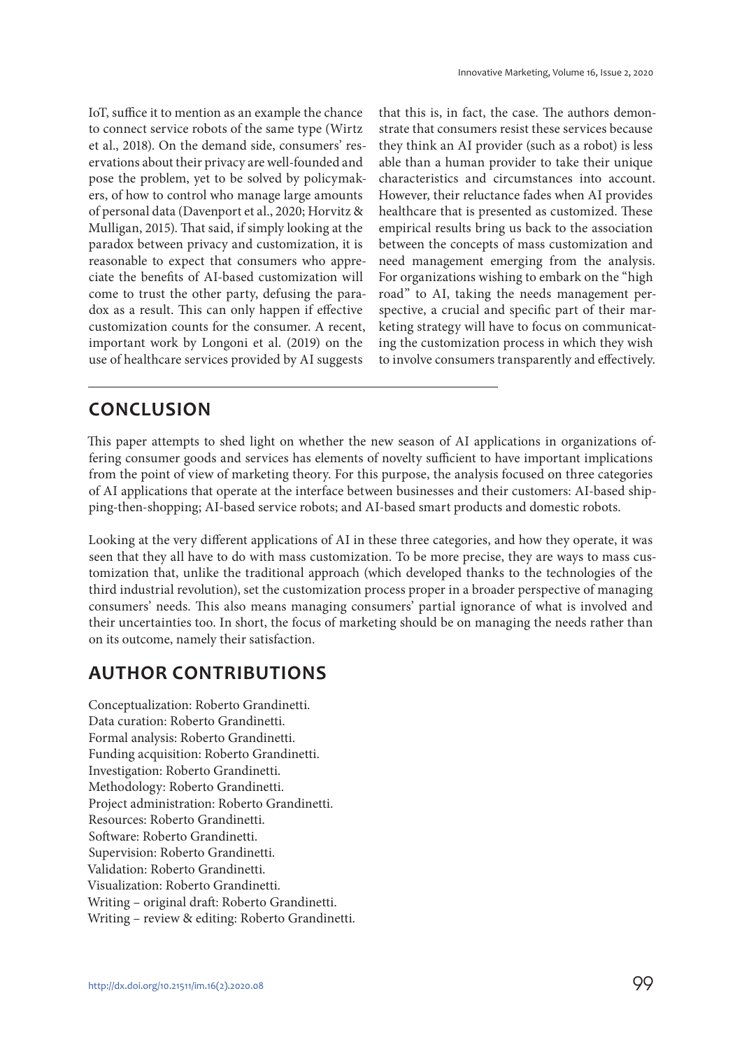IoT, suffice it to mention as an example the chance to connect service robots of the same type (Wirtz et al., 2018). On the demand side, consumers' reservations about their privacy are well-founded and pose the problem, yet to be solved by policymakers, of how to control who manage large amounts of personal data (Davenport et al., 2020; Horvitz & Mulligan, 2015). That said, if simply looking at the paradox between privacy and customization, it is reasonable to expect that consumers who appreciate the benefits of AI-based customization will come to trust the other party, defusing the paradox as a result. This can only happen if effective customization counts for the consumer. A recent, important work by Longoni et al. (2019) on the use of healthcare services provided by AI suggests

that this is, in fact, the case. The authors demonstrate that consumers resist these services because they think an AI provider (such as a robot) is less able than a human provider to take their unique characteristics and circumstances into account. However, their reluctance fades when AI provides healthcare that is presented as customized. These empirical results bring us back to the association between the concepts of mass customization and need management emerging from the analysis. For organizations wishing to embark on the "high road" to AI, taking the needs management perspective, a crucial and specific part of their marketing strategy will have to focus on communicating the customization process in which they wish to involve consumers transparently and effectively.

# **CONCLUSION**

This paper attempts to shed light on whether the new season of AI applications in organizations offering consumer goods and services has elements of novelty sufficient to have important implications from the point of view of marketing theory. For this purpose, the analysis focused on three categories of AI applications that operate at the interface between businesses and their customers: AI-based shipping-then-shopping; AI-based service robots; and AI-based smart products and domestic robots.

Looking at the very different applications of AI in these three categories, and how they operate, it was seen that they all have to do with mass customization. To be more precise, they are ways to mass customization that, unlike the traditional approach (which developed thanks to the technologies of the third industrial revolution), set the customization process proper in a broader perspective of managing consumers' needs. This also means managing consumers' partial ignorance of what is involved and their uncertainties too. In short, the focus of marketing should be on managing the needs rather than on its outcome, namely their satisfaction.

# **AUTHOR CONTRIBUTIONS**

Conceptualization: Roberto Grandinetti. Data curation: Roberto Grandinetti. Formal analysis: Roberto Grandinetti. Funding acquisition: Roberto Grandinetti. Investigation: Roberto Grandinetti. Methodology: Roberto Grandinetti. Project administration: Roberto Grandinetti. Resources: Roberto Grandinetti. Software: Roberto Grandinetti. Supervision: Roberto Grandinetti. Validation: Roberto Grandinetti. Visualization: Roberto Grandinetti. Writing – original draft: Roberto Grandinetti. Writing – review & editing: Roberto Grandinetti.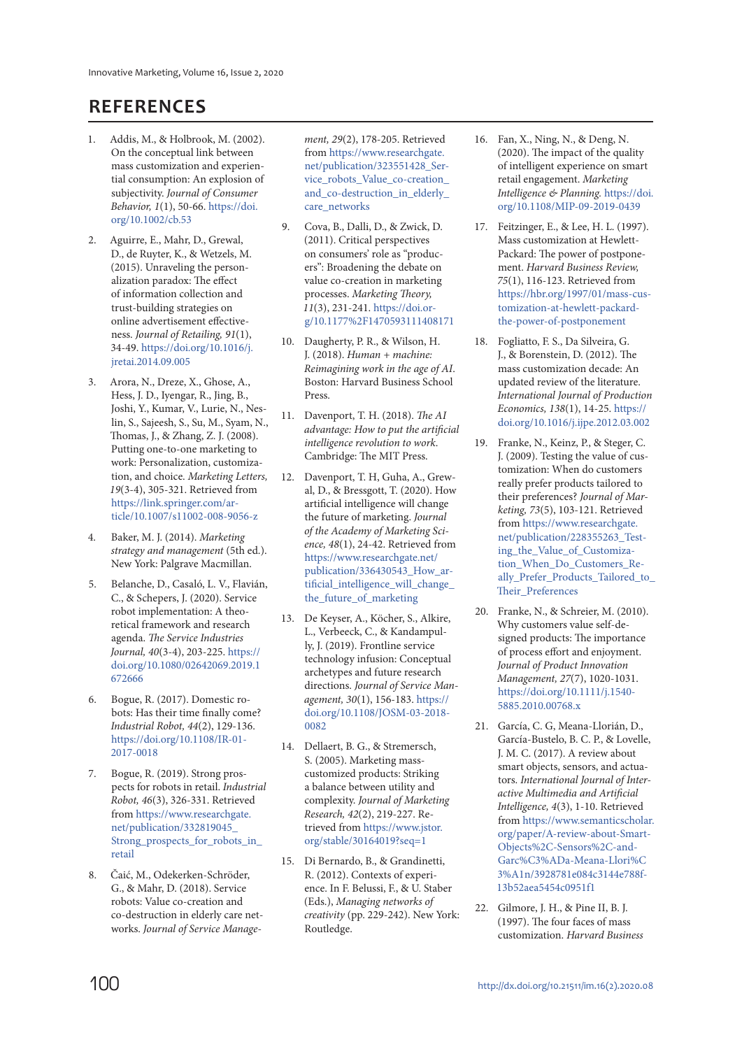# **REFERENCES**

- 1. Addis, M., & Holbrook, M. (2002). On the conceptual link between mass customization and experiential consumption: An explosion of subjectivity. Journal of Consumer Behavior, 1(1), 50-66. https://doi. org/10.1002/cb.53
- 2. Aguirre, E., Mahr, D., Grewal, D., de Ruyter, K., & Wetzels, M. (2015). Unraveling the personalization paradox: The effect of information collection and trust-building strategies on online advertisement effectiveness. Journal of Retailing, 91(1), 34-49. https://doi.org/10.1016/j. jretai.2014.09.005
- 3. Arora, N., Dreze, X., Ghose, A., Hess, J. D., Iyengar, R., Jing, B., Joshi, Y., Kumar, V., Lurie, N., Neslin, S., Sajeesh, S., Su, M., Syam, N., Thomas, J., & Zhang, Z. J. (2008). Putting one-to-one marketing to work: Personalization, customization, and choice. Marketing Letters, 19(3-4), 305-321. Retrieved from https://link.springer.com/article/10.1007/s11002-008-9056-z
- 4. Baker, M. J. (2014). Marketing strategy and management (5th ed.). New York: Palgrave Macmillan.
- 5. Belanche, D., Casaló, L. V., Flavián, C., & Schepers, J. (2020). Service robot implementation: A theoretical framework and research agenda. The Service Industries Journal, 40(3-4), 203-225. https:// doi.org/10.1080/02642069.2019.1 672666
- 6. Bogue, R. (2017). Domestic robots: Has their time finally come? Industrial Robot, 44(2), 129-136. https://doi.org/10.1108/IR-01- 2017-0018
- 7. Bogue, R. (2019). Strong prospects for robots in retail. Industrial Robot, 46(3), 326-331. Retrieved from https://www.researchgate. net/publication/332819045\_ Strong\_prospects\_for\_robots\_in\_ retail
- 8. Čaić, M., Odekerken-Schröder, G., & Mahr, D. (2018). Service robots: Value co-creation and co-destruction in elderly care networks. Journal of Service Manage-

ment, 29(2), 178-205. Retrieved from https://www.researchgate. net/publication/323551428\_Service\_robots\_Value\_co-creation\_ and\_co-destruction\_in\_elderly\_ care\_networks

- 9. Cova, B., Dalli, D., & Zwick, D. (2011). Critical perspectives on consumers' role as "producers": Broadening the debate on value co-creation in marketing processes. Marketing Theory, 11(3), 231-241. https://doi. org/10.1177%2F1470593111408171
- 10. Daugherty, P. R., & Wilson, H. J. (2018). Human + machine: Reimagining work in the age of AI. Boston: Harvard Business School Press.
- 11. Davenport, T. H. (2018). The AI advantage: How to put the artificial intelligence revolution to work. Cambridge: The MIT Press.
- 12. Davenport, T. H, Guha, A., Grewal, D., & Bressgott, T. (2020). How artificial intelligence will change the future of marketing. Journal of the Academy of Marketing Science, 48(1), 24-42. Retrieved from https://www.researchgate.net/ publication/336430543\_How\_artificial intelligence will change the future of marketing
- 13. De Keyser, A., Köcher, S., Alkire, L., Verbeeck, C., & Kandampully, J. (2019). Frontline service technology infusion: Conceptual archetypes and future research directions. Journal of Service Management, 30(1), 156-183. https:// doi.org/10.1108/JOSM-03-2018- 0082
- 14. Dellaert, B. G., & Stremersch, S. (2005). Marketing masscustomized products: Striking a balance between utility and complexity. Journal of Marketing Research, 42(2), 219-227. Retrieved from https://www.jstor. org/stable/30164019?seq=1
- 15. Di Bernardo, B., & Grandinetti, R. (2012). Contexts of experience. In F. Belussi, F., & U. Staber (Eds.), Managing networks of creativity (pp. 229-242). New York: Routledge.
- 16. Fan, X., Ning, N., & Deng, N. (2020). The impact of the quality of intelligent experience on smart retail engagement. Marketing Intelligence & Planning. https://doi. org/10.1108/MIP-09-2019-0439
- 17. Feitzinger, E., & Lee, H. L. (1997). Mass customization at Hewlett-Packard: The power of postponement. Harvard Business Review, 75(1), 116-123. Retrieved from https://hbr.org/1997/01/mass-customization-at-hewlett-packardthe-power-of-postponement
- 18. Fogliatto, F. S., Da Silveira, G. J., & Borenstein, D. (2012). The mass customization decade: An updated review of the literature. International Journal of Production Economics, 138(1), 14-25. https:// doi.org/10.1016/j.ijpe.2012.03.002
- 19. Franke, N., Keinz, P., & Steger, C. J. (2009). Testing the value of customization: When do customers really prefer products tailored to their preferences? Journal of Marketing, 73(5), 103-121. Retrieved from https://www.researchgate. net/publication/228355263\_Testing\_the\_Value\_of\_Customization\_When\_Do\_Customers\_Really\_Prefer\_Products\_Tailored\_to\_ Their\_Preferences
- 20. Franke, N., & Schreier, M. (2010). Why customers value self‐designed products: The importance of process effort and enjoyment. Journal of Product Innovation Management, 27(7), 1020-1031. https://doi.org/10.1111/j.1540- 5885.2010.00768.x
- 21. García, C. G, Meana-Llorián, D., García-Bustelo, B. C. P., & Lovelle, J. M. C. (2017). A review about smart objects, sensors, and actuators. International Journal of Interactive Multimedia and Artificial Intelligence, 4(3), 1-10. Retrieved from https://www.semanticscholar. org/paper/A-review-about-Smart-Objects%2C-Sensors%2C-and-Garc%C3%ADa-Meana-Llori%C 3%A1n/3928781e084c3144e788f-13b52aea5454c0951f1
- 22. Gilmore, J. H., & Pine II, B. J. (1997). The four faces of mass customization. Harvard Business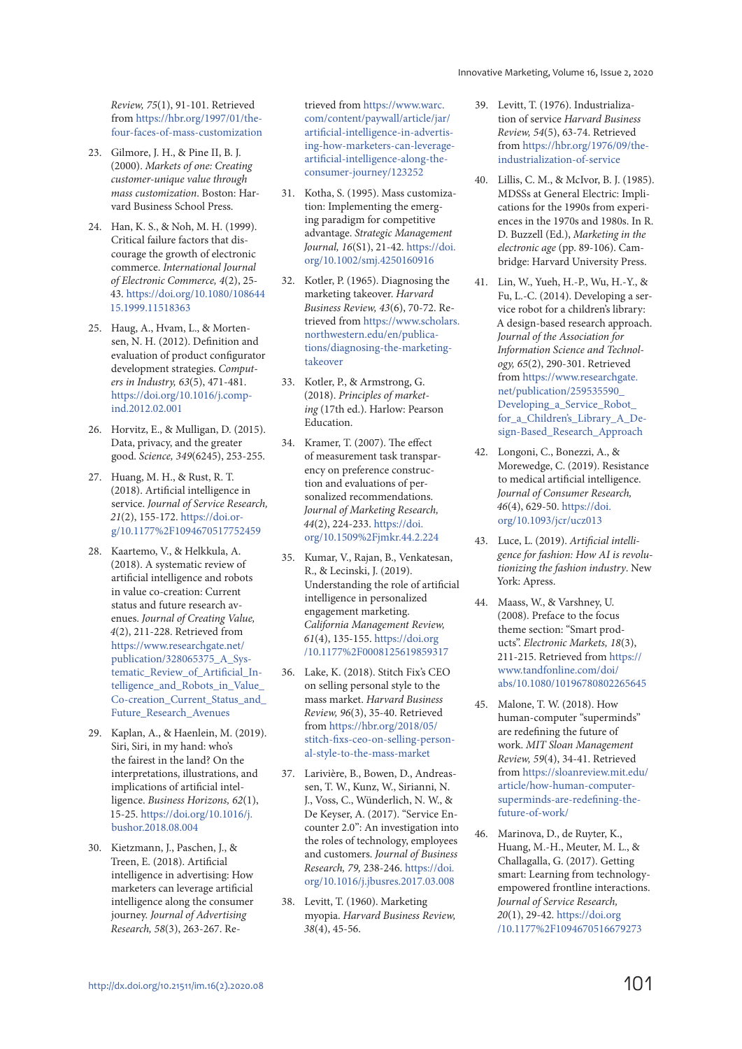Review, 75(1), 91-101. Retrieved from https://hbr.org/1997/01/thefour-faces-of-mass-customization

- 23. Gilmore, J. H., & Pine II, B. J. (2000). Markets of one: Creating customer-unique value through mass customization. Boston: Harvard Business School Press.
- 24. Han, K. S., & Noh, M. H. (1999). Critical failure factors that discourage the growth of electronic commerce. International Journal of Electronic Commerce, 4(2), 25- 43. https://doi.org/10.1080/108644 15.1999.11518363
- 25. Haug, A., Hvam, L., & Mortensen, N. H. (2012). Definition and evaluation of product configurator development strategies. Computers in Industry, 63(5), 471-481. https://doi.org/10.1016/j.compind.2012.02.001
- 26. Horvitz, E., & Mulligan, D. (2015). Data, privacy, and the greater good. Science, 349(6245), 253-255.
- 27. Huang, M. H., & Rust, R. T. (2018). Artificial intelligence in service. Journal of Service Research, 21(2), 155-172. https://doi.org/10.1177%2F1094670517752459
- 28. Kaartemo, V., & Helkkula, A. (2018). A systematic review of artificial intelligence and robots in value co-creation: Current status and future research avenues. Journal of Creating Value, 4(2), 211-228. Retrieved from https://www.researchgate.net/ publication/328065375\_A\_Systematic\_Review\_of\_Artificial\_Intelligence\_and\_Robots\_in\_Value\_ Co-creation\_Current\_Status\_and\_ Future\_Research\_Avenues
- 29. Kaplan, A., & Haenlein, M. (2019). Siri, Siri, in my hand: who's the fairest in the land? On the interpretations, illustrations, and implications of artificial intelligence. Business Horizons, 62(1), 15-25. https://doi.org/10.1016/j. bushor.2018.08.004
- 30. Kietzmann, J., Paschen, J., & Treen, E. (2018). Artificial intelligence in advertising: How marketers can leverage artificial intelligence along the consumer journey. Journal of Advertising Research, 58(3), 263-267. Re-

trieved from https://www.warc. com/content/paywall/article/jar/ artificial-intelligence-in-advertising-how-marketers-can-leverageartificial-intelligence-along-theconsumer-journey/123252

- 31. Kotha, S. (1995). Mass customization: Implementing the emerging paradigm for competitive advantage. Strategic Management Journal, 16(S1), 21-42. https://doi. org/10.1002/smj.4250160916
- 32. Kotler, P. (1965). Diagnosing the marketing takeover. Harvard Business Review, 43(6), 70-72. Retrieved from https://www.scholars. northwestern.edu/en/publications/diagnosing-the-marketingtakeover
- 33. Kotler, P., & Armstrong, G. (2018). Principles of marketing (17th ed.). Harlow: Pearson Education.
- 34. Kramer, T. (2007). The effect of measurement task transparency on preference construction and evaluations of personalized recommendations. Journal of Marketing Research, 44(2), 224-233. https://doi. org/10.1509%2Fjmkr.44.2.224
- 35. Kumar, V., Rajan, B., Venkatesan, R., & Lecinski, J. (2019). Understanding the role of artificial intelligence in personalized engagement marketing. California Management Review, 61(4), 135-155. https://doi.org /10.1177%2F0008125619859317
- 36. Lake, K. (2018). Stitch Fix's CEO on selling personal style to the mass market. Harvard Business Review, 96(3), 35-40. Retrieved from https://hbr.org/2018/05/ stitch-fixs-ceo-on-selling-personal-style-to-the-mass-market
- 37. Larivière, B., Bowen, D., Andreassen, T. W., Kunz, W., Sirianni, N. J., Voss, C., Wünderlich, N. W., & De Keyser, A. (2017). "Service Encounter 2.0": An investigation into the roles of technology, employees and customers. Journal of Business Research, 79, 238-246. https://doi. org/10.1016/j.jbusres.2017.03.008
- 38. Levitt, T. (1960). Marketing myopia. Harvard Business Review, 38(4), 45-56.
- 39. Levitt, T. (1976). Industrialization of service Harvard Business Review, 54(5), 63-74. Retrieved from https://hbr.org/1976/09/theindustrialization-of-service
- 40. Lillis, C. M., & McIvor, B. J. (1985). MDSSs at General Electric: Implications for the 1990s from experiences in the 1970s and 1980s. In R. D. Buzzell (Ed.), Marketing in the electronic age (pp. 89-106). Cambridge: Harvard University Press.
- 41. Lin, W., Yueh, H.-P., Wu, H.-Y., & Fu, L.-C. (2014). Developing a service robot for a children's library: A design-based research approach. Journal of the Association for Information Science and Technology, 65(2), 290-301. Retrieved from https://www.researchgate. net/publication/259535590\_ Developing\_a\_Service\_Robot for a Children's Library A Design-Based\_Research\_Approach
- 42. Longoni, C., Bonezzi, A., & Morewedge, C. (2019). Resistance to medical artificial intelligence. Journal of Consumer Research, 46(4), 629-50. https://doi. org/10.1093/jcr/ucz013
- 43. Luce, L. (2019). Artificial intelligence for fashion: How AI is revolutionizing the fashion industry. New York: Apress.
- 44. Maass, W., & Varshney, U. (2008). Preface to the focus theme section: "Smart products". Electronic Markets, 18(3), 211-215. Retrieved from https:// www.tandfonline.com/doi/ abs/10.1080/10196780802265645
- 45. Malone, T. W. (2018). How human-computer "superminds" are redefining the future of work. MIT Sloan Management Review, 59(4), 34-41. Retrieved from https://sloanreview.mit.edu/ article/how-human-computersuperminds-are-redefining-thefuture-of-work/
- 46. Marinova, D., de Ruyter, K., Huang, M.-H., Meuter, M. L., & Challagalla, G. (2017). Getting smart: Learning from technologyempowered frontline interactions. Journal of Service Research, 20(1), 29-42. https://doi.org /10.1177%2F1094670516679273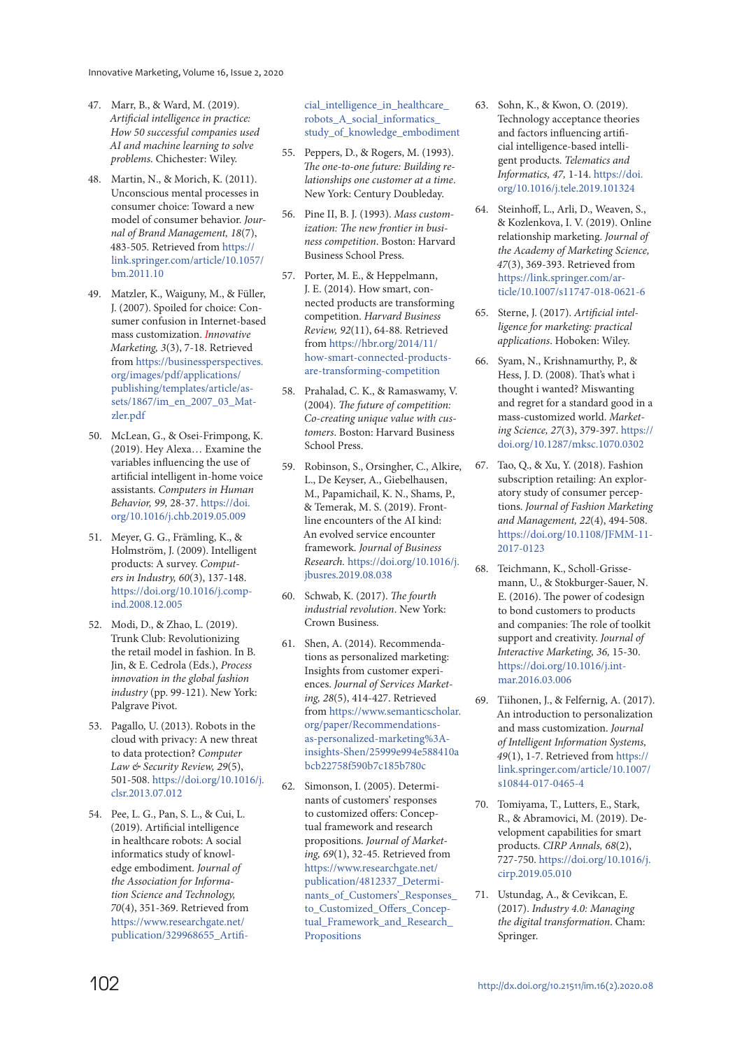- 47. Marr, B., & Ward, M. (2019). Artificial intelligence in practice: How 50 successful companies used AI and machine learning to solve problems. Chichester: Wiley.
- 48. Martin, N., & Morich, K. (2011). Unconscious mental processes in consumer choice: Toward a new model of consumer behavior. Journal of Brand Management, 18(7), 483-505. Retrieved from https:// link.springer.com/article/10.1057/ bm.2011.10
- 49. Matzler, K., Waiguny, M., & Füller, J. (2007). Spoiled for choice: Consumer confusion in Internet-based mass customization. Innovative Marketing, 3(3), 7-18. Retrieved from https://businessperspectives. org/images/pdf/applications/ publishing/templates/article/assets/1867/im\_en\_2007\_03\_Matzler.pdf
- 50. McLean, G., & Osei-Frimpong, K. (2019). Hey Alexa… Examine the variables influencing the use of artificial intelligent in-home voice assistants. Computers in Human Behavior, 99, 28-37. https://doi. org/10.1016/j.chb.2019.05.009
- 51. Meyer, G. G., Främling, K., & Holmström, J. (2009). Intelligent products: A survey. Computers in Industry, 60(3), 137-148. https://doi.org/10.1016/j.compind.2008.12.005
- 52. Modi, D., & Zhao, L. (2019). Trunk Club: Revolutionizing the retail model in fashion. In B. Jin, & E. Cedrola (Eds.), Process innovation in the global fashion industry (pp. 99-121). New York: Palgrave Pivot.
- 53. Pagallo, U. (2013). Robots in the cloud with privacy: A new threat to data protection? Computer Law & Security Review, 29(5), 501-508. https://doi.org/10.1016/j. clsr.2013.07.012
- 54. Pee, L. G., Pan, S. L., & Cui, L. (2019). Artificial intelligence in healthcare robots: A social informatics study of knowledge embodiment. Journal of the Association for Information Science and Technology, 70(4), 351-369. Retrieved from https://www.researchgate.net/ publication/329968655\_Artifi-

cial\_intelligence\_in\_healthcare robots\_A\_social\_informatics\_ study\_of\_knowledge\_embodiment

- 55. Peppers, D., & Rogers, M. (1993). The one-to-one future: Building relationships one customer at a time. New York: Century Doubleday.
- 56. Pine II, B. J. (1993). Mass customization: The new frontier in business competition. Boston: Harvard Business School Press.
- 57. Porter, M. E., & Heppelmann, J. E. (2014). How smart, connected products are transforming competition. Harvard Business Review, 92(11), 64-88. Retrieved from https://hbr.org/2014/11/ how-smart-connected-productsare-transforming-competition
- 58. Prahalad, C. K., & Ramaswamy, V. (2004). The future of competition: Co-creating unique value with customers. Boston: Harvard Business School Press.
- 59. Robinson, S., Orsingher, C., Alkire, L., De Keyser, A., Giebelhausen, M., Papamichail, K. N., Shams, P., & Temerak, M. S. (2019). Frontline encounters of the AI kind: An evolved service encounter framework. Journal of Business Research. https://doi.org/10.1016/j. jbusres.2019.08.038
- 60. Schwab, K. (2017). The fourth industrial revolution. New York: Crown Business.
- 61. Shen, A. (2014). Recommendations as personalized marketing: Insights from customer experiences. Journal of Services Marketing, 28(5), 414-427. Retrieved from https://www.semanticscholar. org/paper/Recommendationsas-personalized-marketing%3Ainsights-Shen/25999e994e588410a bcb22758f590b7c185b780c
- 62. Simonson, I. (2005). Determinants of customers' responses to customized offers: Conceptual framework and research propositions. Journal of Marketing, 69(1), 32-45. Retrieved from https://www.researchgate.net/ publication/4812337\_Determinants of Customers' Responses to\_Customized\_Offers\_Conceptual Framework and Research Propositions
- 63. Sohn, K., & Kwon, O. (2019). Technology acceptance theories and factors influencing artificial intelligence-based intelligent products. Telematics and Informatics, 47, 1-14. https://doi. org/10.1016/j.tele.2019.101324
- 64. Steinhoff, L., Arli, D., Weaven, S., & Kozlenkova, I. V. (2019). Online relationship marketing. Journal of the Academy of Marketing Science, 47(3), 369-393. Retrieved from https://link.springer.com/article/10.1007/s11747-018-0621-6
- 65. Sterne, J. (2017). Artificial intelligence for marketing: practical applications. Hoboken: Wiley.
- 66. Syam, N., Krishnamurthy, P., & Hess, J. D. (2008). That's what i thought i wanted? Miswanting and regret for a standard good in a mass-customized world. Marketing Science, 27(3), 379-397. https:// doi.org/10.1287/mksc.1070.0302
- 67. Tao, Q., & Xu, Y. (2018). Fashion subscription retailing: An exploratory study of consumer perceptions. Journal of Fashion Marketing and Management, 22(4), 494-508. https://doi.org/10.1108/JFMM-11- 2017-0123
- 68. Teichmann, K., Scholl-Grissemann, U., & Stokburger-Sauer, N. E. (2016). The power of codesign to bond customers to products and companies: The role of toolkit support and creativity. Journal of Interactive Marketing, 36, 15-30. https://doi.org/10.1016/j.intmar.2016.03.006
- 69. Tiihonen, J., & Felfernig, A. (2017). An introduction to personalization and mass customization. Journal of Intelligent Information Systems, 49(1), 1-7. Retrieved from https:// link.springer.com/article/10.1007/ s10844-017-0465-4
- 70. Tomiyama, T., Lutters, E., Stark, R., & Abramovici, M. (2019). Development capabilities for smart products. CIRP Annals, 68(2), 727-750. https://doi.org/10.1016/j. cirp.2019.05.010
- 71. Ustundag, A., & Cevikcan, E. (2017). Industry 4.0: Managing the digital transformation. Cham: Springer.